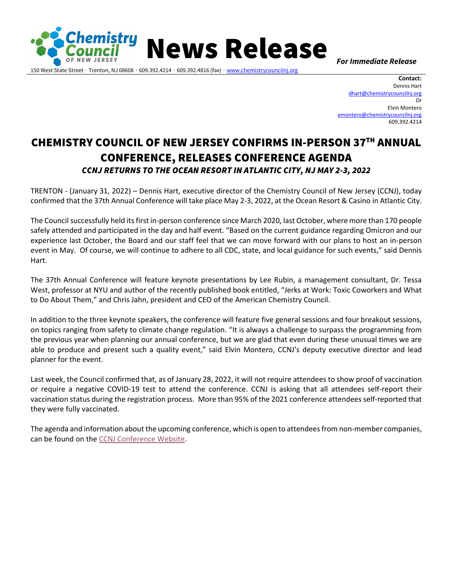

150 West State Street ∙ Trenton, NJ 08608 ∙ 609.392.4214 ∙ 609.392.4816 (fax) ∙ [www.chemistrycouncilnj.org](http://www.chemistrycouncilnj.org/)

News Release *For Immediate Release*

**Contact:**  Dennis Hart [dhart@chemistrycouncilnj.org](mailto:dhart@chemistrycouncilnj.org) Or Elvin Montero [emontero@chemistrycouncilnj.org](mailto:emontero@chemistrycouncilnj.org) 609.392.4214

## CHEMISTRY COUNCIL OF NEW JERSEY CONFIRMS IN-PERSON 37TH ANNUAL CONFERENCE, RELEASES CONFERENCE AGENDA *CCNJ RETURNS TO THE OCEAN RESORT IN ATLANTIC CITY, NJ MAY 2-3, 2022*

TRENTON - (January 31, 2022) – Dennis Hart, executive director of the Chemistry Council of New Jersey (CCNJ), today confirmed that the 37th Annual Conference will take place May 2-3, 2022, at the Ocean Resort & Casino in Atlantic City.

The Council successfully held its first in-person conference since March 2020, last October, where more than 170 people safely attended and participated in the day and half event. "Based on the current guidance regarding Omicron and our experience last October, the Board and our staff feel that we can move forward with our plans to host an in-person event in May. Of course, we will continue to adhere to all CDC, state, and local guidance for such events," said Dennis Hart.

The 37th Annual Conference will feature keynote presentations by Lee Rubin, a management consultant, Dr. Tessa West, professor at NYU and author of the recently published book entitled, "Jerks at Work: Toxic Coworkers and What to Do About Them," and Chris Jahn, president and CEO of the American Chemistry Council.

In addition to the three keynote speakers, the conference will feature five general sessions and four breakout sessions, on topics ranging from safety to climate change regulation. "It is always a challenge to surpass the programming from the previous year when planning our annual conference, but we are glad that even during these unusual times we are able to produce and present such a quality event," said Elvin Montero, CCNJ's deputy executive director and lead planner for the event.

Last week, the Council confirmed that, as of January 28, 2022, it will not require attendees to show proof of vaccination or require a negative COVID-19 test to attend the conference. CCNJ is asking that all attendees self-report their vaccination status during the registration process. More than 95% of the 2021 conference attendees self-reported that they were fully vaccinated.

The agenda and information about the upcoming conference, which is open to attendees from non-member companies, can be found on the [CCNJ Conference Website.](https://www.chemistrycouncilnj.org/Events/2022-Annual-Conference.aspx)